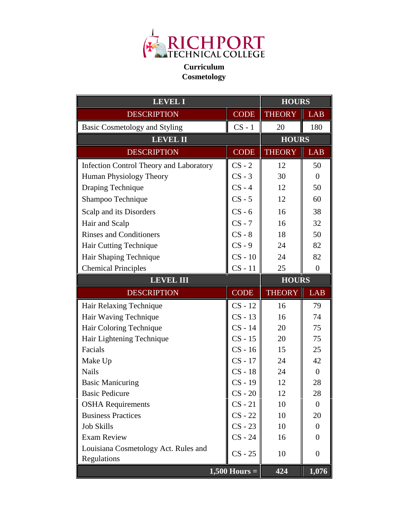

## **Curriculum Cosmetology**

| <b>LEVEL I</b>                                 |             | <b>HOURS</b>  |                  |
|------------------------------------------------|-------------|---------------|------------------|
| <b>DESCRIPTION</b>                             | <b>CODE</b> | <b>THEORY</b> | <b>LAB</b>       |
| <b>Basic Cosmetology and Styling</b>           | $CS - 1$    | 20            | 180              |
| <b>LEVEL II</b>                                |             | <b>HOURS</b>  |                  |
| <b>DESCRIPTION</b>                             | <b>CODE</b> | <b>THEORY</b> | <b>LAB</b>       |
| <b>Infection Control Theory and Laboratory</b> | $CS - 2$    | 12            | 50               |
| Human Physiology Theory                        | $CS - 3$    | 30            | $\overline{0}$   |
| Draping Technique                              | $CS - 4$    | 12            | 50               |
| Shampoo Technique                              | $CS - 5$    | 12            | 60               |
| Scalp and its Disorders                        | $CS - 6$    | 16            | 38               |
| Hair and Scalp                                 | $CS - 7$    | 16            | 32               |
| <b>Rinses and Conditioners</b>                 | $CS - 8$    | 18            | 50               |
| Hair Cutting Technique                         | $CS - 9$    | 24            | 82               |
| Hair Shaping Technique                         | $CS - 10$   | 24            | 82               |
| <b>Chemical Principles</b>                     | $CS - 11$   | 25            | $\overline{0}$   |
| <b>LEVEL III</b>                               |             | <b>HOURS</b>  |                  |
|                                                |             |               |                  |
| <b>DESCRIPTION</b>                             | <b>CODE</b> | <b>THEORY</b> | <b>LAB</b>       |
| Hair Relaxing Technique                        | $CS - 12$   | 16            | 79               |
| Hair Waving Technique                          | $CS - 13$   | 16            | 74               |
| Hair Coloring Technique                        | $CS - 14$   | 20            | 75               |
| Hair Lightening Technique                      | $CS - 15$   | 20            | 75               |
| Facials                                        | $CS - 16$   | 15            | 25               |
| Make Up                                        | $CS - 17$   | 24            | 42               |
| <b>Nails</b>                                   | $CS - 18$   | 24            | $\boldsymbol{0}$ |
| <b>Basic Manicuring</b>                        | $CS - 19$   | 12            | 28               |
| <b>Basic Pedicure</b>                          | $CS - 20$   | 12            | 28               |
| <b>OSHA</b> Requirements                       | $CS - 21$   | 10            | $\boldsymbol{0}$ |
| <b>Business Practices</b>                      | $CS - 22$   | 10            | 20               |
| <b>Job Skills</b>                              | $CS - 23$   | 10            | $\overline{0}$   |
| <b>Exam Review</b>                             | $CS - 24$   | 16            | $\boldsymbol{0}$ |
| Louisiana Cosmetology Act. Rules and           |             |               |                  |
| Regulations                                    | $CS - 25$   | 10            | $\boldsymbol{0}$ |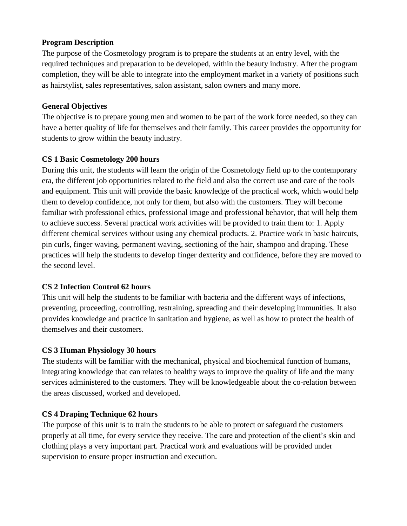#### **Program Description**

The purpose of the Cosmetology program is to prepare the students at an entry level, with the required techniques and preparation to be developed, within the beauty industry. After the program completion, they will be able to integrate into the employment market in a variety of positions such as hairstylist, sales representatives, salon assistant, salon owners and many more.

#### **General Objectives**

The objective is to prepare young men and women to be part of the work force needed, so they can have a better quality of life for themselves and their family. This career provides the opportunity for students to grow within the beauty industry.

## **CS 1 Basic Cosmetology 200 hours**

During this unit, the students will learn the origin of the Cosmetology field up to the contemporary era, the different job opportunities related to the field and also the correct use and care of the tools and equipment. This unit will provide the basic knowledge of the practical work, which would help them to develop confidence, not only for them, but also with the customers. They will become familiar with professional ethics, professional image and professional behavior, that will help them to achieve success. Several practical work activities will be provided to train them to: 1. Apply different chemical services without using any chemical products. 2. Practice work in basic haircuts, pin curls, finger waving, permanent waving, sectioning of the hair, shampoo and draping. These practices will help the students to develop finger dexterity and confidence, before they are moved to the second level.

## **CS 2 Infection Control 62 hours**

This unit will help the students to be familiar with bacteria and the different ways of infections, preventing, proceeding, controlling, restraining, spreading and their developing immunities. It also provides knowledge and practice in sanitation and hygiene, as well as how to protect the health of themselves and their customers.

## **CS 3 Human Physiology 30 hours**

The students will be familiar with the mechanical, physical and biochemical function of humans, integrating knowledge that can relates to healthy ways to improve the quality of life and the many services administered to the customers. They will be knowledgeable about the co-relation between the areas discussed, worked and developed.

## **CS 4 Draping Technique 62 hours**

The purpose of this unit is to train the students to be able to protect or safeguard the customers properly at all time, for every service they receive. The care and protection of the client's skin and clothing plays a very important part. Practical work and evaluations will be provided under supervision to ensure proper instruction and execution.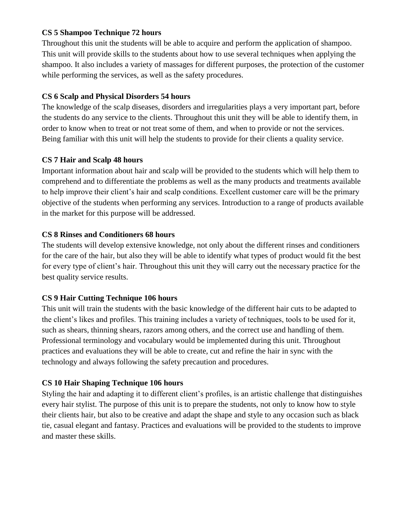#### **CS 5 Shampoo Technique 72 hours**

Throughout this unit the students will be able to acquire and perform the application of shampoo. This unit will provide skills to the students about how to use several techniques when applying the shampoo. It also includes a variety of massages for different purposes, the protection of the customer while performing the services, as well as the safety procedures.

#### **CS 6 Scalp and Physical Disorders 54 hours**

The knowledge of the scalp diseases, disorders and irregularities plays a very important part, before the students do any service to the clients. Throughout this unit they will be able to identify them, in order to know when to treat or not treat some of them, and when to provide or not the services. Being familiar with this unit will help the students to provide for their clients a quality service.

## **CS 7 Hair and Scalp 48 hours**

Important information about hair and scalp will be provided to the students which will help them to comprehend and to differentiate the problems as well as the many products and treatments available to help improve their client's hair and scalp conditions. Excellent customer care will be the primary objective of the students when performing any services. Introduction to a range of products available in the market for this purpose will be addressed.

#### **CS 8 Rinses and Conditioners 68 hours**

The students will develop extensive knowledge, not only about the different rinses and conditioners for the care of the hair, but also they will be able to identify what types of product would fit the best for every type of client's hair. Throughout this unit they will carry out the necessary practice for the best quality service results.

## **CS 9 Hair Cutting Technique 106 hours**

This unit will train the students with the basic knowledge of the different hair cuts to be adapted to the client's likes and profiles. This training includes a variety of techniques, tools to be used for it, such as shears, thinning shears, razors among others, and the correct use and handling of them. Professional terminology and vocabulary would be implemented during this unit. Throughout practices and evaluations they will be able to create, cut and refine the hair in sync with the technology and always following the safety precaution and procedures.

## **CS 10 Hair Shaping Technique 106 hours**

Styling the hair and adapting it to different client's profiles, is an artistic challenge that distinguishes every hair stylist. The purpose of this unit is to prepare the students, not only to know how to style their clients hair, but also to be creative and adapt the shape and style to any occasion such as black tie, casual elegant and fantasy. Practices and evaluations will be provided to the students to improve and master these skills.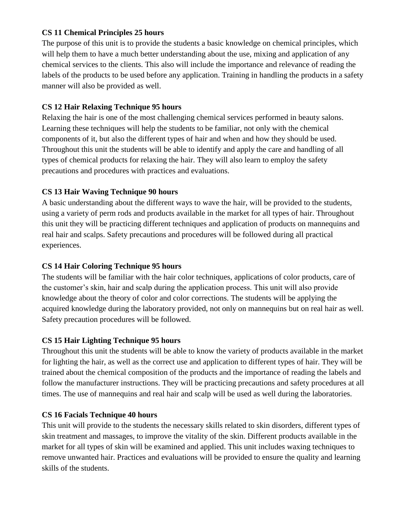#### **CS 11 Chemical Principles 25 hours**

The purpose of this unit is to provide the students a basic knowledge on chemical principles, which will help them to have a much better understanding about the use, mixing and application of any chemical services to the clients. This also will include the importance and relevance of reading the labels of the products to be used before any application. Training in handling the products in a safety manner will also be provided as well.

#### **CS 12 Hair Relaxing Technique 95 hours**

Relaxing the hair is one of the most challenging chemical services performed in beauty salons. Learning these techniques will help the students to be familiar, not only with the chemical components of it, but also the different types of hair and when and how they should be used. Throughout this unit the students will be able to identify and apply the care and handling of all types of chemical products for relaxing the hair. They will also learn to employ the safety precautions and procedures with practices and evaluations.

## **CS 13 Hair Waving Technique 90 hours**

A basic understanding about the different ways to wave the hair, will be provided to the students, using a variety of perm rods and products available in the market for all types of hair. Throughout this unit they will be practicing different techniques and application of products on mannequins and real hair and scalps. Safety precautions and procedures will be followed during all practical experiences.

## **CS 14 Hair Coloring Technique 95 hours**

The students will be familiar with the hair color techniques, applications of color products, care of the customer's skin, hair and scalp during the application process. This unit will also provide knowledge about the theory of color and color corrections. The students will be applying the acquired knowledge during the laboratory provided, not only on mannequins but on real hair as well. Safety precaution procedures will be followed.

## **CS 15 Hair Lighting Technique 95 hours**

Throughout this unit the students will be able to know the variety of products available in the market for lighting the hair, as well as the correct use and application to different types of hair. They will be trained about the chemical composition of the products and the importance of reading the labels and follow the manufacturer instructions. They will be practicing precautions and safety procedures at all times. The use of mannequins and real hair and scalp will be used as well during the laboratories.

## **CS 16 Facials Technique 40 hours**

This unit will provide to the students the necessary skills related to skin disorders, different types of skin treatment and massages, to improve the vitality of the skin. Different products available in the market for all types of skin will be examined and applied. This unit includes waxing techniques to remove unwanted hair. Practices and evaluations will be provided to ensure the quality and learning skills of the students.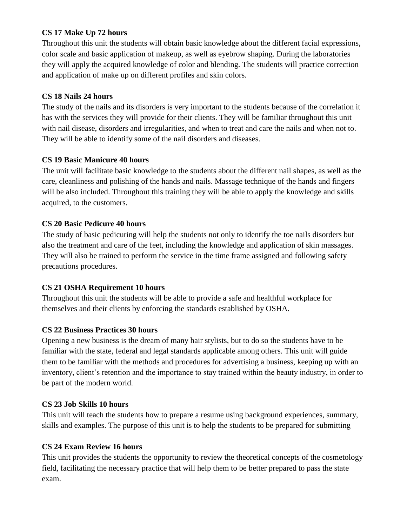#### **CS 17 Make Up 72 hours**

Throughout this unit the students will obtain basic knowledge about the different facial expressions, color scale and basic application of makeup, as well as eyebrow shaping. During the laboratories they will apply the acquired knowledge of color and blending. The students will practice correction and application of make up on different profiles and skin colors.

## **CS 18 Nails 24 hours**

The study of the nails and its disorders is very important to the students because of the correlation it has with the services they will provide for their clients. They will be familiar throughout this unit with nail disease, disorders and irregularities, and when to treat and care the nails and when not to. They will be able to identify some of the nail disorders and diseases.

## **CS 19 Basic Manicure 40 hours**

The unit will facilitate basic knowledge to the students about the different nail shapes, as well as the care, cleanliness and polishing of the hands and nails. Massage technique of the hands and fingers will be also included. Throughout this training they will be able to apply the knowledge and skills acquired, to the customers.

## **CS 20 Basic Pedicure 40 hours**

The study of basic pedicuring will help the students not only to identify the toe nails disorders but also the treatment and care of the feet, including the knowledge and application of skin massages. They will also be trained to perform the service in the time frame assigned and following safety precautions procedures.

# **CS 21 OSHA Requirement 10 hours**

Throughout this unit the students will be able to provide a safe and healthful workplace for themselves and their clients by enforcing the standards established by OSHA.

# **CS 22 Business Practices 30 hours**

Opening a new business is the dream of many hair stylists, but to do so the students have to be familiar with the state, federal and legal standards applicable among others. This unit will guide them to be familiar with the methods and procedures for advertising a business, keeping up with an inventory, client's retention and the importance to stay trained within the beauty industry, in order to be part of the modern world.

# **CS 23 Job Skills 10 hours**

This unit will teach the students how to prepare a resume using background experiences, summary, skills and examples. The purpose of this unit is to help the students to be prepared for submitting

# **CS 24 Exam Review 16 hours**

This unit provides the students the opportunity to review the theoretical concepts of the cosmetology field, facilitating the necessary practice that will help them to be better prepared to pass the state exam.